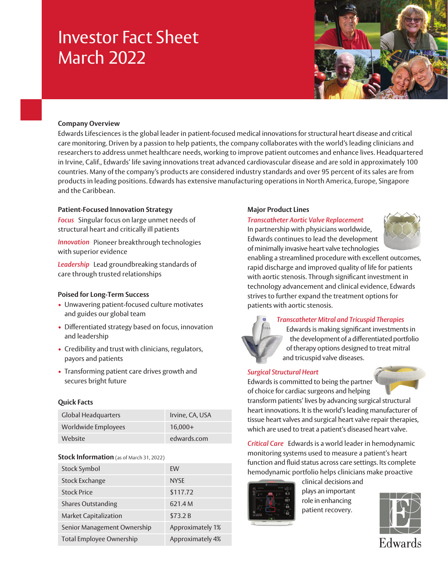# Investor Fact Sheet March 2022



## **Company Overview**

Edwards Lifesciences is the global leader in patient-focused medical innovations for structural heart disease and critical care monitoring. Driven by a passion to help patients, the company collaborates with the world's leading clinicians and researchers to address unmet healthcare needs, working to improve patient outcomes and enhance lives. Headquartered in Irvine, Calif., Edwards' life saving innovations treat advanced cardiovascular disease and are sold in approximately 100 countries. Many of the company's products are considered industry standards and over 95 percent of its sales are from products in leading positions. Edwards has extensive manufacturing operations in North America, Europe, Singapore and the Caribbean.

### **Patient-Focused Innovation Strategy**

*Focus* Singular focus on large unmet needs of structural heart and critically ill patients

*Innovation* Pioneer breakthrough technologies with superior evidence

*Leadership* Lead groundbreaking standards of care through trusted relationships

### **Poised for Long-Term Success**

- Unwavering patient-focused culture motivates and guides our global team
- Differentiated strategy based on focus, innovation and leadership
- Credibility and trust with clinicians, regulators, payors and patients
- Transforming patient care drives growth and secures bright future

# **Quick Facts**

| <b>Global Headquarters</b> | Irvine, CA, USA |
|----------------------------|-----------------|
| Worldwide Employees        | $16.000+$       |
| Website                    | edwards.com     |

### **Stock Information** (as of March 31, 2022)

| Stock Symbol                                 | EW               |
|----------------------------------------------|------------------|
| <b>Stock Exchange</b>                        | <b>NYSE</b>      |
| <b>Stock Price</b>                           | \$117.72         |
| <b>Shares Outstanding</b>                    | 621.4 M          |
| <b>Market Capitalization</b>                 | \$73.2B          |
| Senior Management Ownership                  | Approximately 1% |
| Approximately 4%<br>Total Employee Ownership |                  |

## **Major Product Lines**

#### *Transcatheter Aortic Valve Replacement*

In partnership with physicians worldwide, Edwards continues to lead the development of minimally invasive heart valve technologies



enabling a streamlined procedure with excellent outcomes, rapid discharge and improved quality of life for patients with aortic stenosis. Through significant investment in technology advancement and clinical evidence, Edwards strives to further expand the treatment options for patients with aortic stenosis.



#### *Transcatheter Mitral and Tricuspid Therapies*

Edwards is making significant investments in the development of a differentiated portfolio of therapy options designed to treat mitral and tricuspid valve diseases.

### *Surgical Structural Heart*

Edwards is committed to being the partner of choice for cardiac surgeons and helping

transform patients' lives by advancing surgical structural heart innovations. It is the world's leading manufacturer of tissue heart valves and surgical heart valve repair therapies, which are used to treat a patient's diseased heart valve.

*Critical Care* Edwards is a world leader in hemodynamic monitoring systems used to measure a patient's heart function and fluid status across care settings. Its complete hemodynamic portfolio helps clinicians make proactive



clinical decisions and plays an important role in enhancing patient recovery.